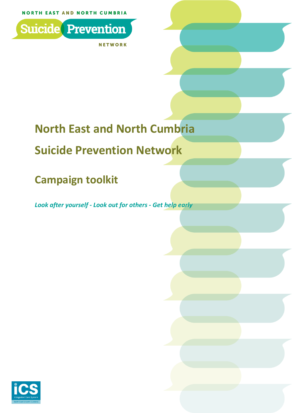**NORTH EAST AND NORTH CUMBRIA** 



**NETWORK** 

# **North East and North Cumbria**

## **Suicide Prevention Network**

## **Campaign toolkit**

*Look after yourself - Look out for others - Get help early*

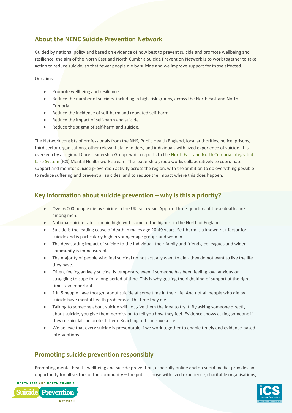## **About the NENC Suicide Prevention Network**

Guided by national policy and based on evidence of how best to prevent suicide and promote wellbeing and resilience, the aim of the North East and North Cumbria Suicide Prevention Network is to work together to take action to reduce suicide, so that fewer people die by suicide and we improve support for those affected.

Our aims:

- Promote wellbeing and resilience.
- Reduce the number of suicides, including in high-risk groups, across the North East and North Cumbria.
- Reduce the incidence of self-harm and repeated self-harm.
- Reduce the impact of self-harm and suicide.
- Reduce the stigma of self-harm and suicide.

The Network consists of professionals from the NHS, Public Health England, local authorities, police, prisons, third sector organisations, other relevant stakeholders, and individuals with lived experience of suicide. It is overseen by a regional Core Leadership Group, which reports to the [North East and North Cumbria Integrated](https://nhsjoinourjourney.org.uk/)  [Care System](https://nhsjoinourjourney.org.uk/) (ICS) Mental Health work stream. The leadership group works collaboratively to coordinate, support and monitor suicide prevention activity across the region, with the ambition to do everything possible to reduce suffering and prevent all suicides, and to reduce the impact where this does happen.

## **Key information about suicide prevention – why is this a priority?**

- Over 6,000 people die by suicide in the UK each year. Approx. three-quarters of these deaths are among men.
- National suicide rates remain high, with some of the highest in the North of England.
- Suicide is the leading cause of death in males age 20-49 years. Self-harm is a known risk factor for suicide and is particularly high in younger age groups and women.
- The devastating impact of suicide to the individual, their family and friends, colleagues and wider community is immeasurable.
- The majority of people who feel suicidal do not actually want to die they do not want to live the life they have.
- Often, feeling actively suicidal is temporary, even if someone has been feeling low, anxious or struggling to cope for a long period of time. This is why getting the right kind of support at the right time is so important.
- 1 in 5 people have thought about suicide at some time in their life. And not all people who die by suicide have mental health problems at the time they die.
- Talking to someone about suicide will not give them the idea to try it. By asking someone directly about suicide, you give them permission to tell you how they feel. Evidence shows asking someone if they're suicidal can protect them. Reaching out can save a life.
- We believe that every suicide is preventable if we work together to enable timely and evidence-based interventions.

## **Promoting suicide prevention responsibly**

Promoting mental health, wellbeing and suicide prevention, especially online and on social media, provides an opportunity for all sectors of the community – the public, those with lived experience, charitable organisations,



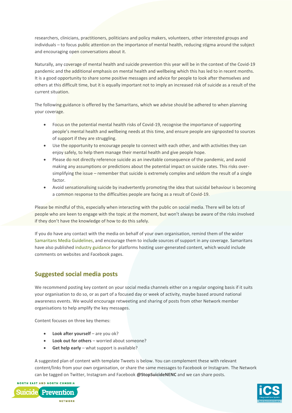researchers, clinicians, practitioners, politicians and policy makers, volunteers, other interested groups and individuals – to focus public attention on the importance of mental health, reducing stigma around the subject and encouraging open conversations about it.

Naturally, any coverage of mental health and suicide prevention this year will be in the context of the Covid-19 pandemic and the additional emphasis on mental health and wellbeing which this has led to in recent months. It is a good opportunity to share some positive messages and advice for people to look after themselves and others at this difficult time, but it is equally important not to imply an increased risk of suicide as a result of the current situation.

The following guidance is offered by the Samaritans, which we advise should be adhered to when planning your coverage.

- Focus on the potential mental health risks of Covid-19, recognise the importance of supporting people's mental health and wellbeing needs at this time, and ensure people are signposted to sources of support if they are struggling.
- Use the opportunity to encourage people to connect with each other, and with activities they can enjoy safely, to help them manage their mental health and give people hope.
- Please do not directly reference suicide as an inevitable consequence of the pandemic, and avoid making any assumptions or predictions about the potential impact on suicide rates. This risks oversimplifying the issue – remember that suicide is extremely complex and seldom the result of a single factor.
- Avoid sensationalising suicide by inadvertently promoting the idea that suicidal behaviour is becoming a common response to the difficulties people are facing as a result of Covid-19.

Please be mindful of this, especially when interacting with the public on social media. There will be lots of people who are keen to engage with the topic at the moment, but won't always be aware of the risks involved if they don't have the knowledge of how to do this safely.

If you do have any contact with the media on behalf of your own organisation, remind them of the wider [Samaritans Media Guidelines,](https://www.samaritans.org/about-samaritans/media-guidelines/) and encourage them to include sources of support in any coverage. Samaritans have also published [industry guidance](https://www.samaritans.org/about-samaritans/research-policy/internet-suicide/guidelines-tech-industry/) for platforms hosting user-generated content, which would include comments on websites and Facebook pages.

## **Suggested social media posts**

We recommend posting key content on your social media channels either on a regular ongoing basis if it suits your organisation to do so, or as part of a focused day or week of activity, maybe based around national awareness events. We would encourage retweeting and sharing of posts from other Network member organisations to help amplify the key messages.

Content focuses on three key themes:

- **Look after yourself** are you ok?
- **Look out for others** worried about someone?
- **Get help early** what support is available?

A suggested plan of content with template Tweets is below. You can complement these with relevant content/links from your own organisation, or share the same messages to Facebook or Instagram. The Network can be tagged on Twitter, Instagram and Facebook **@StopSuicideNENC** and we can share posts.

**NORTH EAST AND NORTH CUMBRIA Suicide** Prevention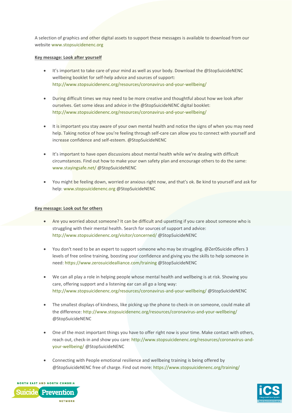A selection of graphics and other digital assets to support these messages is available to download from our website [www.stopsuicidenenc.org](http://www.stopsuicidenenc.org/)

#### **Key message: Look after yourself**

- It's important to take care of your mind as well as your body. Download the @StopSuicideNENC wellbeing booklet for self-help advice and sources of support: <http://www.stopsuicidenenc.org/resources/coronavirus-and-your-wellbeing/>
- During difficult times we may need to be more creative and thoughtful about how we look after ourselves. Get some ideas and advice in the @StopSuicideNENC digital booklet: <http://www.stopsuicidenenc.org/resources/coronavirus-and-your-wellbeing/>
- It is important you stay aware of your own mental health and notice the signs of when you may need help. Taking notice of how you're feeling through self-care can allow you to connect with yourself and increase confidence and self-esteem. @StopSuicideNENC
- It's important to have open discussions about mental health while we're dealing with difficult circumstances. Find out how to make your own safety plan and encourage others to do the same: [www.stayingsafe.net/](http://www.stayingsafe.net/) @StopSuicideNENC
- You might be feeling down, worried or anxious right now, and that's ok. Be kind to yourself and ask for help[: www.stopsuicidenenc.org](http://www.stopsuicidenenc.org/) @StopSuicideNENC

#### **Key message: Look out for others**

- Are you worried about someone? It can be difficult and upsetting if you care about someone who is struggling with their mental health. Search for sources of support and advice: <http://www.stopsuicidenenc.org/visitor/concerned/> @StopSuicideNENC
- You don't need to be an expert to support someone who may be struggling. @Zer0Suicide offers 3 levels of free online training, boosting your confidence and giving you the skills to help someone in need:<https://www.zerosuicidealliance.com/training> @StopSuicideNENC
- We can all play a role in helping people whose mental health and wellbeing is at risk. Showing you care, offering support and a listening ear can all go a long way: <http://www.stopsuicidenenc.org/resources/coronavirus-and-your-wellbeing/> @StopSuicideNENC
- The smallest displays of kindness, like picking up the phone to check-in on someone, could make all the difference:<http://www.stopsuicidenenc.org/resources/coronavirus-and-your-wellbeing/> @StopSuicideNENC
- One of the most important things you have to offer right now is your time. Make contact with others, reach out, check-in and show you care: [http://www.stopsuicidenenc.org/resources/coronavirus-and](http://www.stopsuicidenenc.org/resources/coronavirus-and-your-wellbeing/)[your-wellbeing/](http://www.stopsuicidenenc.org/resources/coronavirus-and-your-wellbeing/) @StopSuicideNENC
- Connecting with People emotional resilience and wellbeing training is being offered by @StopSuicideNENC free of charge. Find out more[: https://www.stopsuicidenenc.org/training/](https://www.stopsuicidenenc.org/training/)



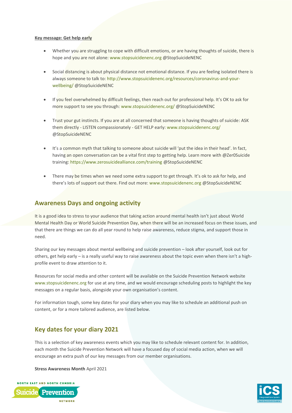#### **Key message: Get help early**

- Whether you are struggling to cope with difficult emotions, or are having thoughts of suicide, there is hope and you are not alone: [www.stopsuicidenenc.org](http://www.stopsuicidenenc.org/) @StopSuicideNENC
- Social distancing is about physical distance not emotional distance. If you are feeling isolated there is always someone to talk to: [http://www.stopsuicidenenc.org/resources/coronavirus-and-your](http://www.stopsuicidenenc.org/resources/coronavirus-and-your-wellbeing/)[wellbeing/](http://www.stopsuicidenenc.org/resources/coronavirus-and-your-wellbeing/) @StopSuicideNENC
- If you feel overwhelmed by difficult feelings, then reach out for professional help. It's OK to ask for more support to see you through: [www.stopsuicidenenc.org/](http://www.stopsuicidenenc.org/) @StopSuicideNENC
- Trust your gut instincts. If you are at all concerned that someone is having thoughts of suicide: ASK them directly - LISTEN compassionately - GET HELP early[: www.stopsuicidenenc.org/](http://www.stopsuicidenenc.org/) @StopSuicideNENC
- It's a common myth that talking to someone about suicide will 'put the idea in their head'. In fact, having an open conversation can be a vital first step to getting help. Learn more with @Zer0Suicide training[: https://www.zerosuicidealliance.com/training](https://www.zerosuicidealliance.com/training) @StopSuicideNENC
- There may be times when we need some extra support to get through. It's ok to ask for help, and there's lots of support out there. Find out more[: www.stopsuicidenenc.org](http://www.stopsuicidenenc.org/) @StopSuicideNENC

### **Awareness Days and ongoing activity**

It is a good idea to stress to your audience that taking action around mental health isn't just about World Mental Health Day or World Suicide Prevention Day, when there will be an increased focus on these issues, and that there are things we can do all year round to help raise awareness, reduce stigma, and support those in need.

Sharing our key messages about mental wellbeing and suicide prevention – look after yourself, look out for others, get help early – is a really useful way to raise awareness about the topic even when there isn't a highprofile event to draw attention to it.

Resources for social media and other content will be available on the Suicide Prevention Network website [www.stopsuicidenenc.org](http://www.stopsuicidenenc.org/) for use at any time, and we would encourage scheduling posts to highlight the key messages on a regular basis, alongside your own organisation's content.

For information tough, some key dates for your diary when you may like to schedule an additional push on content, or for a more tailored audience, are listed below.

### **Key dates for your diary 2021**

This is a selection of key awareness events which you may like to schedule relevant content for. In addition, each month the Suicide Prevention Network will have a focused day of social media action, when we will encourage an extra push of our key messages from our member organisations.

**Stress Awareness Month** April 2021